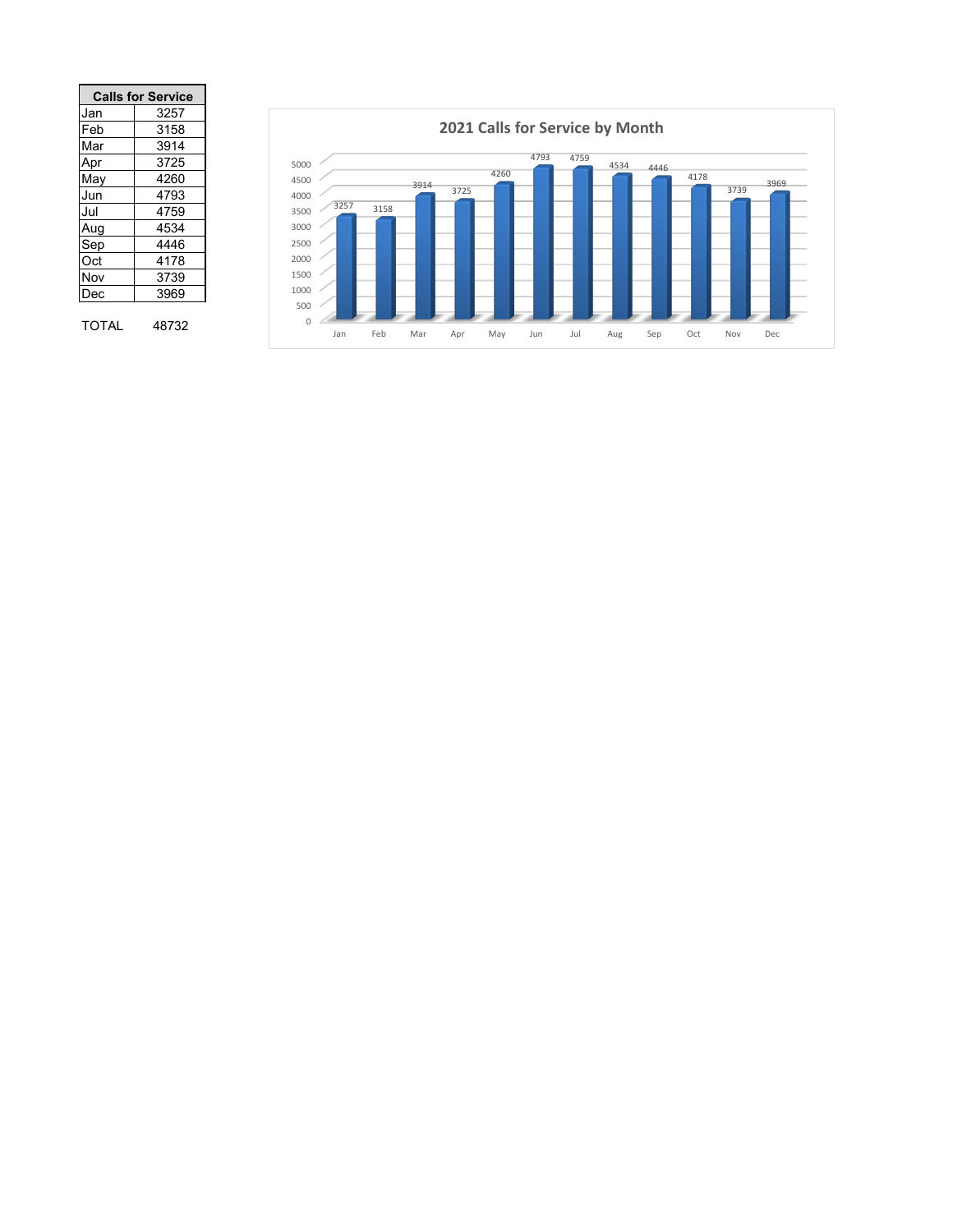|       | <b>Calls for Service</b> |
|-------|--------------------------|
| Jan   | 3257                     |
| Feb   | 3158                     |
| Mar   | 3914                     |
| Apr   | 3725                     |
| May   | 4260                     |
| Jun   | 4793                     |
| Jul   | 4759                     |
| Aug   | 4534                     |
| Sep   | 4446                     |
| Oct   | 4178                     |
| Nov   | 3739                     |
| Dec   | 3969                     |
|       |                          |
| TOTAL | 48732                    |

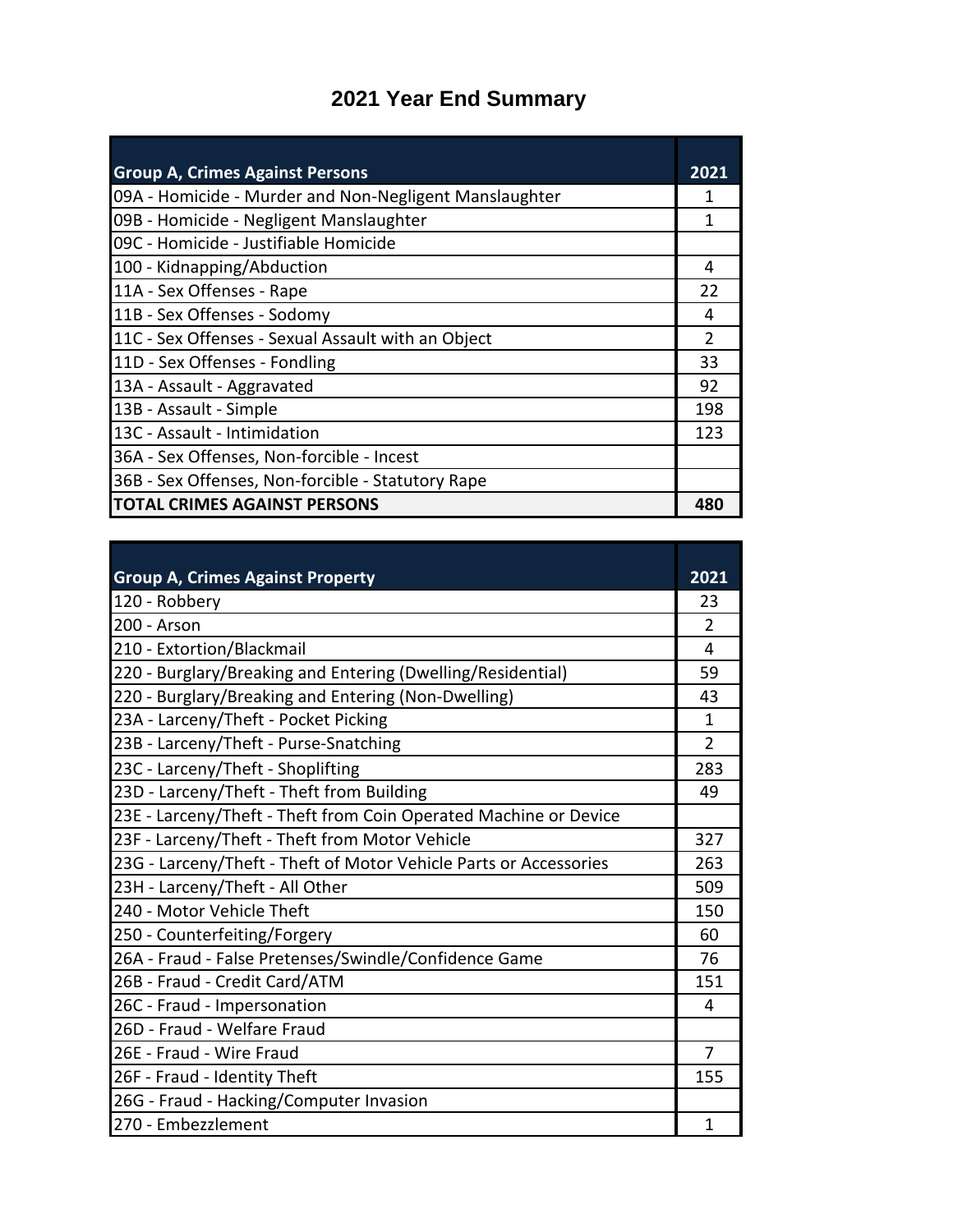## **2021 Year End Summary**

| <b>Group A, Crimes Against Persons</b>                 | 2021          |
|--------------------------------------------------------|---------------|
| 09A - Homicide - Murder and Non-Negligent Manslaughter |               |
| 09B - Homicide - Negligent Manslaughter                |               |
| 09C - Homicide - Justifiable Homicide                  |               |
| 100 - Kidnapping/Abduction                             | 4             |
| 11A - Sex Offenses - Rape                              | 22            |
| 11B - Sex Offenses - Sodomy                            | 4             |
| 11C - Sex Offenses - Sexual Assault with an Object     | $\mathcal{P}$ |
| 11D - Sex Offenses - Fondling                          | 33            |
| 13A - Assault - Aggravated                             | 92            |
| 13B - Assault - Simple                                 | 198           |
| 13C - Assault - Intimidation                           | 123           |
| 36A - Sex Offenses, Non-forcible - Incest              |               |
| 36B - Sex Offenses, Non-forcible - Statutory Rape      |               |
| <b>TOTAL CRIMES AGAINST PERSONS</b>                    | 480           |

| <b>Group A, Crimes Against Property</b>                           | 2021           |
|-------------------------------------------------------------------|----------------|
| 120 - Robbery                                                     | 23             |
| 200 - Arson                                                       | 2              |
| 210 - Extortion/Blackmail                                         | 4              |
| 220 - Burglary/Breaking and Entering (Dwelling/Residential)       | 59             |
| 220 - Burglary/Breaking and Entering (Non-Dwelling)               | 43             |
| 23A - Larceny/Theft - Pocket Picking                              | 1              |
| 23B - Larceny/Theft - Purse-Snatching                             | $\overline{2}$ |
| 23C - Larceny/Theft - Shoplifting                                 | 283            |
| 23D - Larceny/Theft - Theft from Building                         | 49             |
| 23E - Larceny/Theft - Theft from Coin Operated Machine or Device  |                |
| 23F - Larceny/Theft - Theft from Motor Vehicle                    | 327            |
| 23G - Larceny/Theft - Theft of Motor Vehicle Parts or Accessories | 263            |
| 23H - Larceny/Theft - All Other                                   | 509            |
| 240 - Motor Vehicle Theft                                         | 150            |
| 250 - Counterfeiting/Forgery                                      | 60             |
| 26A - Fraud - False Pretenses/Swindle/Confidence Game             | 76             |
| 26B - Fraud - Credit Card/ATM                                     | 151            |
| 26C - Fraud - Impersonation                                       | 4              |
| 26D - Fraud - Welfare Fraud                                       |                |
| 26E - Fraud - Wire Fraud                                          | 7              |
| 26F - Fraud - Identity Theft                                      | 155            |
| 26G - Fraud - Hacking/Computer Invasion                           |                |
| 270 - Embezzlement                                                | 1              |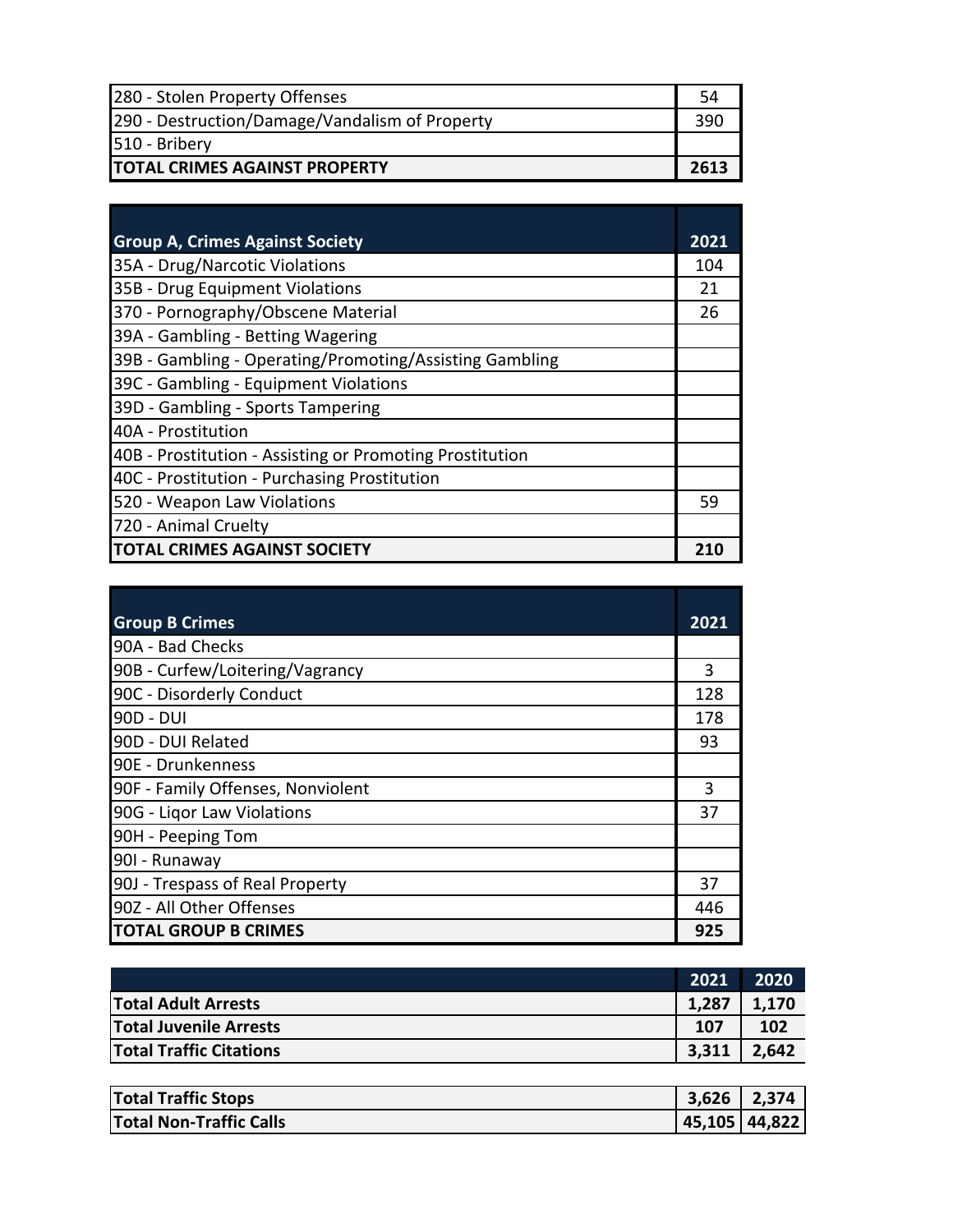| 280 - Stolen Property Offenses                 | 54   |
|------------------------------------------------|------|
| 290 - Destruction/Damage/Vandalism of Property | 390  |
| 510 - Bribery                                  |      |
| <b>TOTAL CRIMES AGAINST PROPERTY</b>           | 2613 |

| <b>Group A, Crimes Against Society</b>                   | 2021 |
|----------------------------------------------------------|------|
| 35A - Drug/Narcotic Violations                           | 104  |
| 35B - Drug Equipment Violations                          | 21   |
| 370 - Pornography/Obscene Material                       | 26   |
| 39A - Gambling - Betting Wagering                        |      |
| 39B - Gambling - Operating/Promoting/Assisting Gambling  |      |
| 39C - Gambling - Equipment Violations                    |      |
| 39D - Gambling - Sports Tampering                        |      |
| 40A - Prostitution                                       |      |
| 40B - Prostitution - Assisting or Promoting Prostitution |      |
| 40C - Prostitution - Purchasing Prostitution             |      |
| 520 - Weapon Law Violations                              | 59   |
| 720 - Animal Cruelty                                     |      |
| <b>TOTAL CRIMES AGAINST SOCIETY</b>                      | 210  |

| <b>Group B Crimes</b>             | 2021 |
|-----------------------------------|------|
| 90A - Bad Checks                  |      |
| 90B - Curfew/Loitering/Vagrancy   | 3    |
| 90C - Disorderly Conduct          | 128  |
| 90D - DUI                         | 178  |
| 90D - DUI Related                 | 93   |
| 90E - Drunkenness                 |      |
| 90F - Family Offenses, Nonviolent | 3    |
| 90G - Ligor Law Violations        | 37   |
| 90H - Peeping Tom                 |      |
| 901 - Runaway                     |      |
| 90J - Trespass of Real Property   | 37   |
| 90Z - All Other Offenses          | 446  |
| <b>TOTAL GROUP B CRIMES</b>       | 925  |

|                                | 2021  | 2020  |
|--------------------------------|-------|-------|
| <b>Total Adult Arrests</b>     | 1,287 | 1,170 |
| <b>Total Juvenile Arrests</b>  | 107   | 102   |
| <b>Total Traffic Citations</b> | 3,311 | 2,642 |
|                                |       |       |

| <b>Total Traffic Stops</b> | $3,626$   2,374 |  |
|----------------------------|-----------------|--|
| Total Non-Traffic Calls    | 45,105 44,822   |  |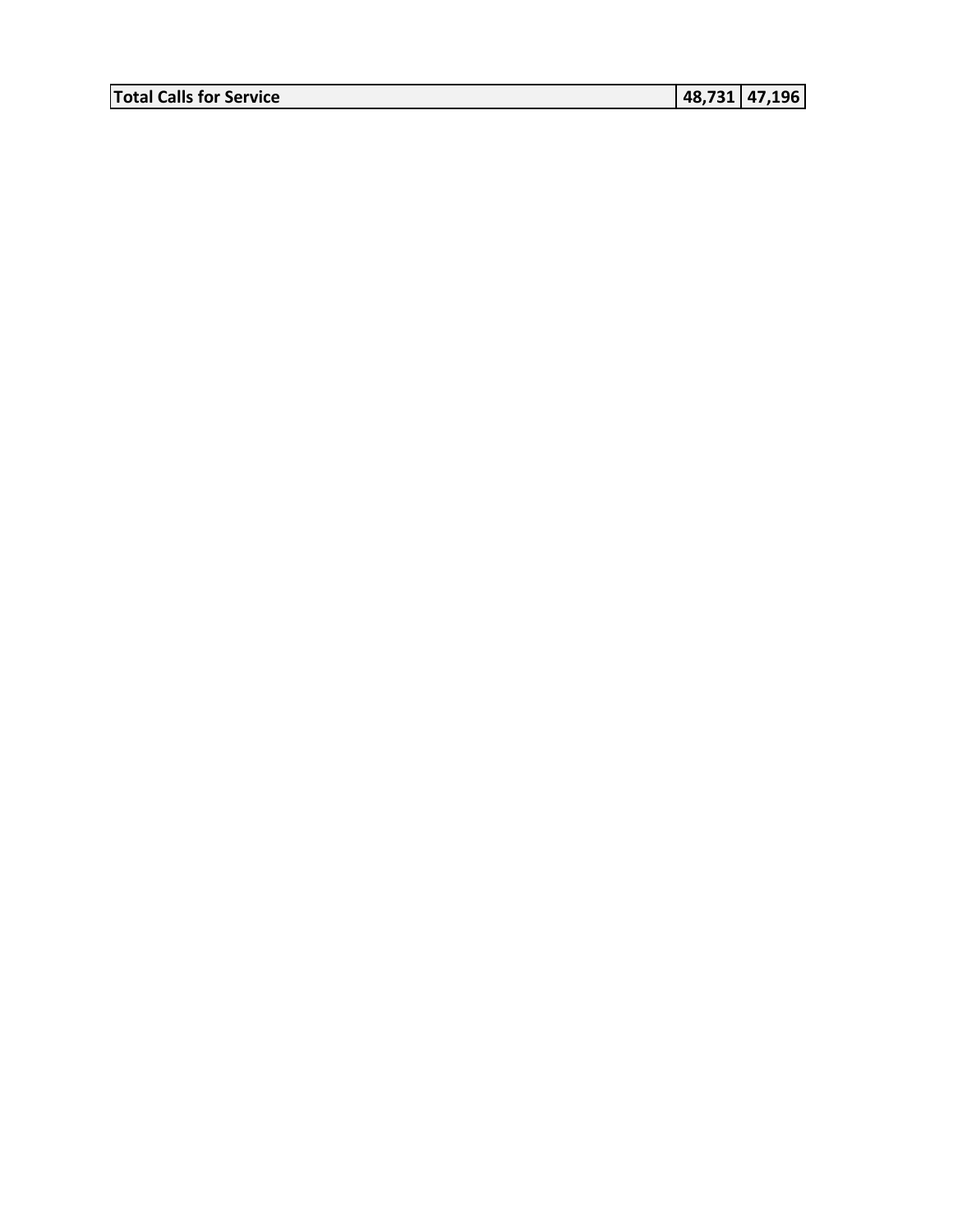**Total Calls for Service 48,731 47,196**